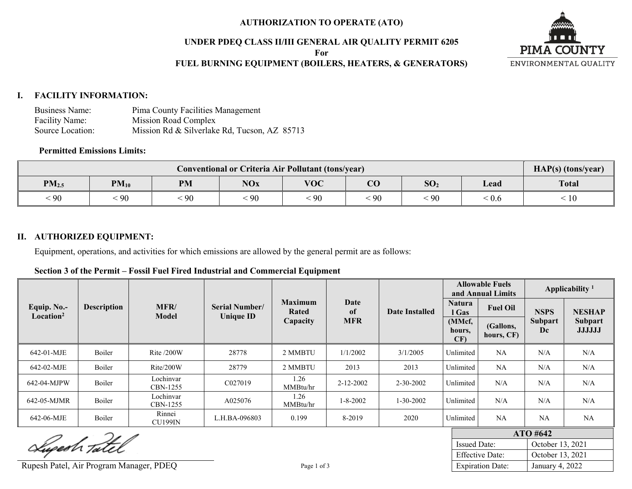#### **AUTHORIZATION TO OPERATE (ATO)**

### **UNDER PDEQ CLASS II/III GENERAL AIR QUALITY PERMIT 6205**

**For**

# **FUEL BURNING EQUIPMENT (BOILERS, HEATERS, & GENERATORS)**



### **I. FACILITY INFORMATION:**

| Business Name:   | Pima County Facilities Management            |
|------------------|----------------------------------------------|
| Facility Name:   | Mission Road Complex                         |
| Source Location: | Mission Rd & Silverlake Rd, Tucson, AZ 85713 |

#### **Permitted Emissions Limits:**

| Conventional or Criteria Air Pollutant (tons/year) |            |           |                 |            |                        |                 |                           | HAP(s) (tons/year) |
|----------------------------------------------------|------------|-----------|-----------------|------------|------------------------|-----------------|---------------------------|--------------------|
| PM <sub>2.5</sub>                                  | $PM_{10}$  | <b>PM</b> | <b>NOx</b>      | <b>VOC</b> | $\overline{\text{CO}}$ | SO <sub>2</sub> | ⊥ead                      | <b>Total</b>       |
| 90                                                 | $\cdot$ 90 | 90        | $\frac{1}{2}90$ | 90         | $90^{\circ}$           | $\cdot$ 90      | $\cdot$ $\wedge$<br>. V.6 | 10                 |

### **II. AUTHORIZED EQUIPMENT:**

Equipment, operations, and activities for which emissions are allowed by the general permit are as follows:

| Section 3 of the Permit – Fossil Fuel Fired Industrial and Commercial Equipment |
|---------------------------------------------------------------------------------|
|---------------------------------------------------------------------------------|

|                                      |                    |                          |                                           |                         |                       |                 | <b>Allowable Fuels</b><br>and Annual Limits |                         | Applicability <sup>1</sup>                              |               |
|--------------------------------------|--------------------|--------------------------|-------------------------------------------|-------------------------|-----------------------|-----------------|---------------------------------------------|-------------------------|---------------------------------------------------------|---------------|
| Equip. No.-<br>Location <sup>2</sup> | <b>Description</b> | MFR/<br>Model            | <b>Serial Number/</b><br><b>Unique ID</b> | <b>Maximum</b><br>Rated | Date<br><sub>of</sub> | Date Installed  |                                             | <b>Fuel Oil</b>         | <b>NSPS</b>                                             | <b>NESHAP</b> |
|                                      |                    |                          |                                           | Capacity                | <b>MFR</b>            |                 | (MMcf,<br>hours,<br>CF                      | (Gallons,<br>hours, CF) | <b>Subpart</b><br><b>Subpart</b><br><b>JJJJJJ</b><br>Dc |               |
| 642-01-MJE                           | Boiler             | Rite $/200W$             | 28778                                     | 2 MMBTU                 | 1/1/2002              | 3/1/2005        | Unlimited                                   | NA                      | N/A                                                     | N/A           |
| 642-02-MJE                           | Boiler             | Rite/200W                | 28779                                     | 2 MMBTU                 | 2013                  | 2013            | Unlimited                                   | NA                      | N/A                                                     | N/A           |
| 642-04-MJPW                          | Boiler             | Lochinvar<br>CBN-1255    | C027019                                   | 1.26<br>MMBtu/hr        | 2-12-2002             | $2 - 30 - 2002$ | Unlimited                                   | N/A                     | N/A                                                     | N/A           |
| 642-05-MJMR                          | Boiler             | Lochinvar<br>CBN-1255    | A025076                                   | 1.26<br>MMBtu/hr        | $1 - 8 - 2002$        | $1 - 30 - 2002$ | Unlimited                                   | N/A                     | N/A                                                     | N/A           |
| 642-06-MJE                           | Boiler             | Rinnei<br><b>CU199IN</b> | L.H.BA-096803                             | 0.199                   | 8-2019                | 2020            | Unlimited                                   | NA                      | NA                                                      | NA            |

Superh Tatel

Rupesh Patel, Air Program Manager, PDEQ Page 1 of 3

| $ATO$ #642              |                  |  |  |  |  |  |  |
|-------------------------|------------------|--|--|--|--|--|--|
| <b>Issued Date:</b>     | October 13, 2021 |  |  |  |  |  |  |
| <b>Effective Date:</b>  | October 13, 2021 |  |  |  |  |  |  |
| <b>Expiration Date:</b> | January 4, 2022  |  |  |  |  |  |  |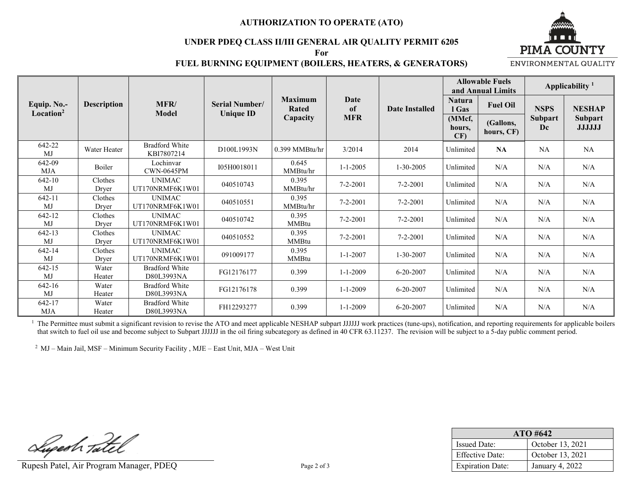#### **AUTHORIZATION TO OPERATE (ATO)**

#### **UNDER PDEQ CLASS II/III GENERAL AIR QUALITY PERMIT 6205**

**For**



## **FUEL BURNING EQUIPMENT (BOILERS, HEATERS, & GENERATORS)**

ENVIRONMENTAL QUALITY

|                                      |                    |                                     |                                           |                         |                | <b>Allowable Fuels</b><br>and Annual Limits |                         | Applicability <sup>1</sup> |                      |                                 |
|--------------------------------------|--------------------|-------------------------------------|-------------------------------------------|-------------------------|----------------|---------------------------------------------|-------------------------|----------------------------|----------------------|---------------------------------|
| Equip. No.-<br>Location <sup>2</sup> | <b>Description</b> | MFR/<br><b>Model</b>                | <b>Serial Number/</b><br><b>Unique ID</b> | <b>Maximum</b><br>Rated | Date<br>of     | Date Installed                              | <b>Natura</b><br>l Gas  | <b>Fuel Oil</b>            | <b>NSPS</b>          | <b>NESHAP</b>                   |
|                                      |                    |                                     |                                           | Capacity                | <b>MFR</b>     |                                             | (MMcf,<br>hours,<br>CF) | (Gallons,<br>hours, CF)    | <b>Subpart</b><br>Dc | <b>Subpart</b><br><b>JJJJJJ</b> |
| 642-22<br><b>MJ</b>                  | Water Heater       | <b>Bradford White</b><br>KBI7807214 | D100L1993N                                | 0.399 MMBtu/hr          | 3/2014         | 2014                                        | Unlimited               | <b>NA</b>                  | NA                   | NA                              |
| 642-09<br><b>MJA</b>                 | Boiler             | Lochinvar<br><b>CWN-0645PM</b>      | I05H0018011                               | 0.645<br>MMBtu/hr       | $1 - 1 - 2005$ | $1 - 30 - 2005$                             | Unlimited               | N/A                        | N/A                  | N/A                             |
| 642-10<br>MJ                         | Clothes<br>Dryer   | <b>UNIMAC</b><br>UT170NRMF6K1W01    | 040510743                                 | 0.395<br>MMBtu/hr       | $7 - 2 - 2001$ | $7 - 2 - 2001$                              | Unlimited               | N/A                        | N/A                  | N/A                             |
| 642-11<br>MJ                         | Clothes<br>Dryer   | <b>UNIMAC</b><br>UT170NRMF6K1W01    | 040510551                                 | 0.395<br>MMBtu/hr       | $7 - 2 - 2001$ | $7 - 2 - 2001$                              | Unlimited               | N/A                        | N/A                  | N/A                             |
| 642-12<br>M <sub>J</sub>             | Clothes<br>Dryer   | <b>UNIMAC</b><br>UT170NRMF6K1W01    | 040510742                                 | 0.395<br><b>MMBtu</b>   | $7 - 2 - 2001$ | $7 - 2 - 2001$                              | Unlimited               | N/A                        | N/A                  | N/A                             |
| 642-13<br><b>MJ</b>                  | Clothes<br>Dryer   | <b>UNIMAC</b><br>UT170NRMF6K1W01    | 040510552                                 | 0.395<br><b>MMBtu</b>   | $7 - 2 - 2001$ | $7 - 2 - 2001$                              | Unlimited               | N/A                        | N/A                  | N/A                             |
| 642-14<br>MJ                         | Clothes<br>Dryer   | <b>UNIMAC</b><br>UT170NRMF6K1W01    | 091009177                                 | 0.395<br><b>MMBtu</b>   | $1 - 1 - 2007$ | 1-30-2007                                   | Unlimited               | N/A                        | N/A                  | N/A                             |
| 642-15<br>MJ                         | Water<br>Heater    | <b>Bradford White</b><br>D80L3993NA | FG12176177                                | 0.399                   | $1 - 1 - 2009$ | $6 - 20 - 2007$                             | Unlimited               | N/A                        | N/A                  | N/A                             |
| 642-16<br>MJ                         | Water<br>Heater    | <b>Bradford White</b><br>D80L3993NA | FG12176178                                | 0.399                   | $1 - 1 - 2009$ | $6 - 20 - 2007$                             | Unlimited               | N/A                        | N/A                  | N/A                             |
| 642-17<br><b>MJA</b>                 | Water<br>Heater    | <b>Bradford White</b><br>D80L3993NA | FH12293277                                | 0.399                   | $1 - 1 - 2009$ | $6 - 20 - 2007$                             | Unlimited               | N/A                        | N/A                  | N/A                             |

<sup>1</sup> The Permittee must submit a significant revision to revise the ATO and meet applicable NESHAP subpart JJJJJJ work practices (tune-ups), notification, and reporting requirements for applicable boilers that switch to fuel oil use and become subject to Subpart JJJJJJ in the oil firing subcategory as defined in 40 CFR 63.11237. The revision will be subject to a 5-day public comment period.

2 MJ – Main Jail, MSF – Minimum Security Facility , MJE – East Unit, MJA – West Unit

Luperh Tatel

Rupesh Patel, Air Program Manager, PDEQ Page 2 of 3

| $ATO$ #642              |                  |  |  |  |  |  |
|-------------------------|------------------|--|--|--|--|--|
| <b>Issued Date:</b>     | October 13, 2021 |  |  |  |  |  |
| <b>Effective Date:</b>  | October 13, 2021 |  |  |  |  |  |
| <b>Expiration Date:</b> | January 4, 2022  |  |  |  |  |  |